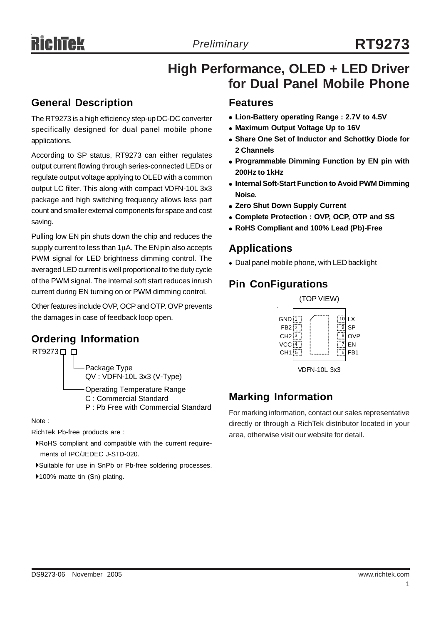# **High Performance, OLED + LED Driver for Dual Panel Mobile Phone**

### **General Description**

The RT9273 is a high efficiency step-up DC-DC converter specifically designed for dual panel mobile phone applications.

According to SP status, RT9273 can either regulates output current flowing through series-connected LEDs or regulate output voltage applying to OLED with a common output LC filter. This along with compact VDFN-10L 3x3 package and high switching frequency allows less part count and smaller external components for space and cost saving.

Pulling low EN pin shuts down the chip and reduces the supply current to less than 1μA. The EN pin also accepts PWM signal for LED brightness dimming control. The averaged LED current is well proportional to the duty cycle of the PWM signal. The internal soft start reduces inrush current during EN turning on or PWM dimming control.

Other features include OVP, OCP and OTP. OVP prevents the damages in case of feedback loop open.

# **Ordering Information**



Note :

RichTek Pb-free products are :

- `RoHS compliant and compatible with the current require ments of IPC/JEDEC J-STD-020.
- `Suitable for use in SnPb or Pb-free soldering processes.
- ▶100% matte tin (Sn) plating.

### **Features**

- **Example 2.7V to 4.5V example 2.7V to 4.5V**
- Maximum Output Voltage Up to 16V
- $\bullet$  **Share One Set of Inductor and Schottky Diode for 2 Channels**
- **Programmable Dimming Function by EN pin with 200Hz to 1kHz**
- **Internal Soft-Start Function to Avoid PWM Dimming Noise.**
- Zero Shut Down Supply Current
- <sup>z</sup> **Complete Protection : OVP, OCP, OTP and SS**
- <sup>z</sup> **RoHS Compliant and 100% Lead (Pb)-Free**

### **Applications**

• Dual panel mobile phone, with LED backlight

### **Pin ConFigurations**



VDFN-10L 3x3

### **Marking Information**

For marking information, contact our sales representative directly or through a RichTek distributor located in your area, otherwise visit our website for detail.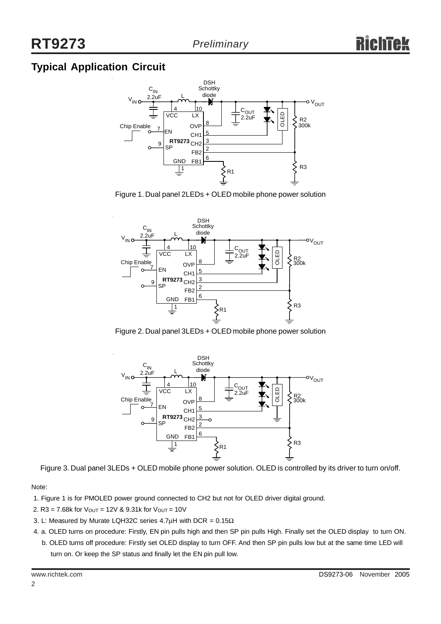### **Typical Application Circuit**



Figure 1. Dual panel 2LEDs + OLED mobile phone power solution



Figure 2. Dual panel 3LEDs + OLED mobile phone power solution



Figure 3. Dual panel 3LEDs + OLED mobile phone power solution. OLED is controlled by its driver to turn on/off.

Note:

- 1. Figure 1 is for PMOLED power ground connected to CH2 but not for OLED driver digital ground.
- 2. R3 = 7.68k for  $V_{\text{OUT}} = 12V$  & 9.31k for  $V_{\text{OUT}} = 10V$
- 3. L: Measured by Murate LQH32C series 4.7 $\mu$ H with DCR = 0.15 $\Omega$
- 4. a. OLED turns on procedure: Firstly, EN pin pulls high and then SP pin pulls High. Finally set the OLED display to turn ON. b. OLED turns off procedure: Firstly set OLED display to turn OFF. And then SP pin pulls low but at the same time LED will turn on. Or keep the SP status and finally let the EN pin pull low.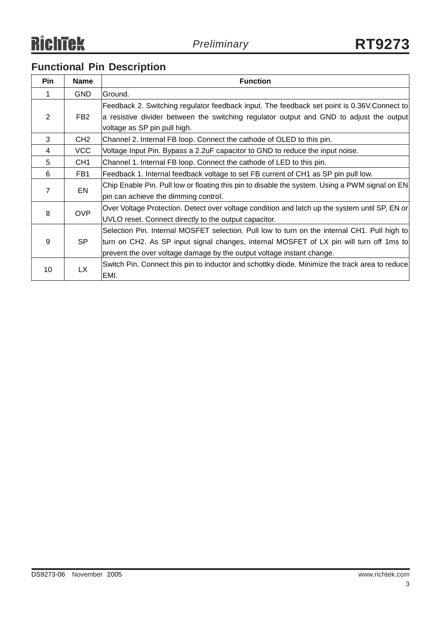# **Functional Pin Description**

| <b>Pin</b> | <b>Name</b>     | <b>Function</b>                                                                                |
|------------|-----------------|------------------------------------------------------------------------------------------------|
| 1          | <b>GND</b>      | Ground.                                                                                        |
|            |                 | Feedback 2. Switching regulator feedback input. The feedback set point is 0.36V.Connect to     |
| 2          | FB <sub>2</sub> | a resistive divider between the switching regulator output and GND to adjust the output        |
|            |                 | voltage as SP pin pull high.                                                                   |
| 3          | CH <sub>2</sub> | Channel 2. Internal FB loop. Connect the cathode of OLED to this pin.                          |
| 4          | VCC             | Voltage Input Pin. Bypass a 2.2uF capacitor to GND to reduce the input noise.                  |
| 5          | CH <sub>1</sub> | Channel 1. Internal FB loop. Connect the cathode of LED to this pin.                           |
| 6          | FB1             | Feedback 1. Internal feedback voltage to set FB current of CH1 as SP pin pull low.             |
| 7          | EN              | Chip Enable Pin. Pull low or floating this pin to disable the system. Using a PWM signal on EN |
|            |                 | pin can achieve the dimming control.                                                           |
| 8          | <b>OVP</b>      | Over Voltage Protection. Detect over voltage condition and latch up the system until SP, EN or |
|            |                 | UVLO reset. Connect directly to the output capacitor.                                          |
|            |                 | Selection Pin. Internal MOSFET selection. Pull low to turn on the internal CH1. Pull high to   |
| 9          | <b>SP</b>       | turn on CH2. As SP input signal changes, internal MOSFET of LX pin will turn off 1ms to        |
|            |                 | prevent the over voltage damage by the output voltage instant change.                          |
|            | <b>LX</b>       | Switch Pin. Connect this pin to inductor and schottky diode. Minimize the track area to reduce |
| 10         |                 | EMI.                                                                                           |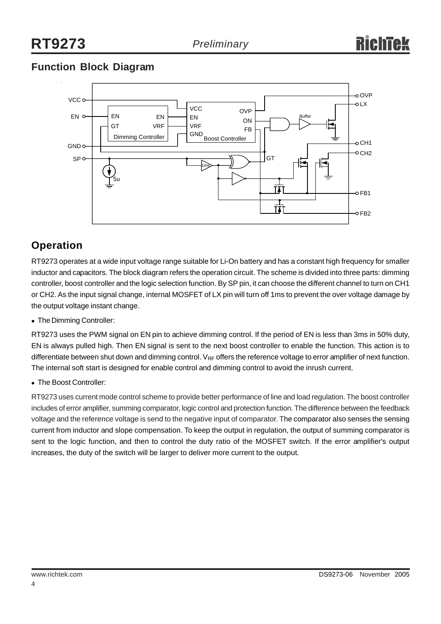## **Function Block Diagram**



### **Operation**

RT9273 operates at a wide input voltage range suitable for Li-On battery and has a constant high frequency for smaller inductor and capacitors. The block diagram refers the operation circuit. The scheme is divided into three parts: dimming controller, boost controller and the logic selection function. By SP pin, it can choose the different channel to turn on CH1 or CH2. As the input signal change, internal MOSFET of LX pin will turn off 1ms to prevent the over voltage damage by the output voltage instant change.

• The Dimming Controller:

RT9273 uses the PWM signal on EN pin to achieve dimming control. If the period of EN is less than 3ms in 50% duty, EN is always pulled high. Then EN signal is sent to the next boost controller to enable the function. This action is to differentiate between shut down and dimming control.  $V_{RF}$  offers the reference voltage to error amplifier of next function. The internal soft start is designed for enable control and dimming control to avoid the inrush current.

• The Boost Controller:

RT9273 uses current mode control scheme to provide better performance of line and load regulation. The boost controller includes of error amplifier, summing comparator, logic control and protection function. The difference between the feedback voltage and the reference voltage is send to the negative input of comparator. The comparator also senses the sensing current from inductor and slope compensation. To keep the output in regulation, the output of summing comparator is sent to the logic function, and then to control the duty ratio of the MOSFET switch. If the error amplifier's output increases, the duty of the switch will be larger to deliver more current to the output.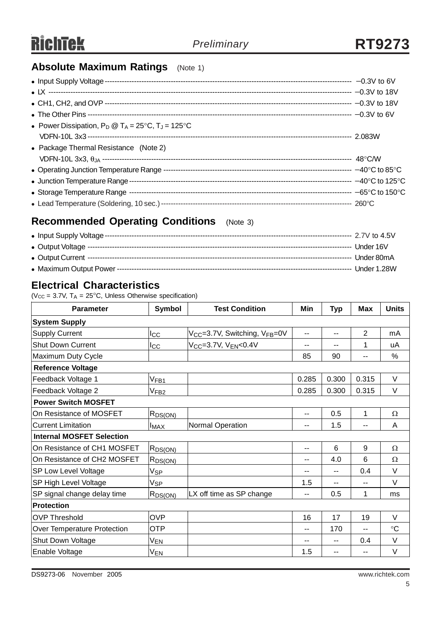### **Absolute Maximum Ratings** (Note 1)

| • Power Dissipation, $P_D @ T_A = 25^{\circ}C$ , $T_J = 125^{\circ}C$ |  |
|-----------------------------------------------------------------------|--|
|                                                                       |  |
| • Package Thermal Resistance (Note 2)                                 |  |
|                                                                       |  |
|                                                                       |  |
|                                                                       |  |
|                                                                       |  |
|                                                                       |  |

### **Recommended Operating Conditions** (Note 3)

### **Electrical Characteristics**

( $V_{CC}$  = 3.7V,  $T_A$  = 25°C, Unless Otherwise specification)

| <b>Parameter</b>                 | <b>Symbol</b>       | <b>Test Condition</b>                        | Min   | <b>Typ</b> | <b>Max</b>               | <b>Units</b> |  |  |
|----------------------------------|---------------------|----------------------------------------------|-------|------------|--------------------------|--------------|--|--|
| <b>System Supply</b>             |                     |                                              |       |            |                          |              |  |  |
| <b>Supply Current</b>            | $_{\text{Lcc}}$     | $V_{CC}$ =3.7V, Switching, $V_{FB}$ =0V      | $-$   | --         | $\overline{2}$           | mA           |  |  |
| <b>Shut Down Current</b>         | $_{\rm{loc}}$       | V <sub>CC</sub> =3.7V, V <sub>EN</sub> <0.4V | --    | --         | 1                        | uA           |  |  |
| Maximum Duty Cycle               |                     |                                              | 85    | 90         | $\overline{\phantom{a}}$ | %            |  |  |
| <b>Reference Voltage</b>         |                     |                                              |       |            |                          |              |  |  |
| Feedback Voltage 1               | V <sub>FB1</sub>    |                                              | 0.285 | 0.300      | 0.315                    | V            |  |  |
| Feedback Voltage 2               | $V$ FB2             |                                              | 0.285 | 0.300      | 0.315                    | V            |  |  |
| <b>Power Switch MOSFET</b>       |                     |                                              |       |            |                          |              |  |  |
| On Resistance of MOSFET          | R <sub>DS(ON)</sub> |                                              | $-$   | 0.5        | 1                        | Ω            |  |  |
| <b>Current Limitation</b>        | <b>IMAX</b>         | Normal Operation                             | --    | 1.5        |                          | Α            |  |  |
| <b>Internal MOSFET Selection</b> |                     |                                              |       |            |                          |              |  |  |
| On Resistance of CH1 MOSFET      | $R_{DS(ON)}$        |                                              | $-$   | 6          | 9                        | Ω            |  |  |
| On Resistance of CH2 MOSFET      | $R_{DS(ON)}$        |                                              | --    | 4.0        | 6                        | Ω            |  |  |
| <b>SP Low Level Voltage</b>      | Vsp                 |                                              | --    | --         | 0.4                      | V            |  |  |
| SP High Level Voltage            | Vsp                 |                                              | 1.5   | --         | $-$                      | $\vee$       |  |  |
| SP signal change delay time      | $R_{DS(ON)}$        | LX off time as SP change                     | $-$   | 0.5        | 1                        | ms           |  |  |
| <b>Protection</b>                |                     |                                              |       |            |                          |              |  |  |
| <b>OVP Threshold</b>             | <b>OVP</b>          |                                              | 16    | 17         | 19                       | V            |  |  |
| Over Temperature Protection      | <b>OTP</b>          |                                              | --    | 170        |                          | $\circ$ C    |  |  |
| Shut Down Voltage                | V <sub>EN</sub>     |                                              | --    | --         | 0.4                      | V            |  |  |
| Enable Voltage                   | V <sub>EN</sub>     |                                              | 1.5   | --         | $-$                      | V            |  |  |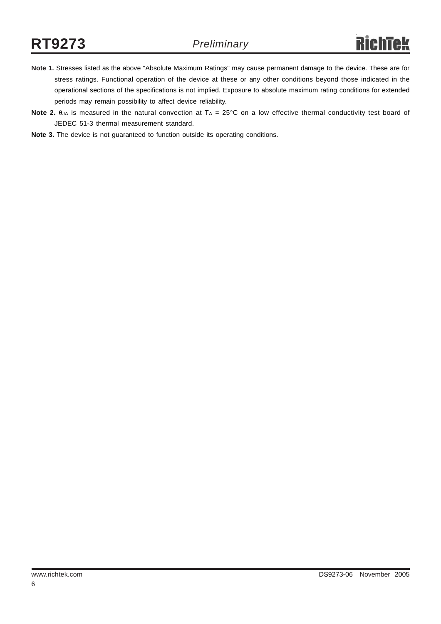- **Note 1.** Stresses listed as the above "Absolute Maximum Ratings" may cause permanent damage to the device. These are for stress ratings. Functional operation of the device at these or any other conditions beyond those indicated in the operational sections of the specifications is not implied. Exposure to absolute maximum rating conditions for extended periods may remain possibility to affect device reliability.
- **Note 2.**  $\theta_{JA}$  is measured in the natural convection at  $T_A = 25^\circ \text{C}$  on a low effective thermal conductivity test board of JEDEC 51-3 thermal measurement standard.
- **Note 3.** The device is not guaranteed to function outside its operating conditions.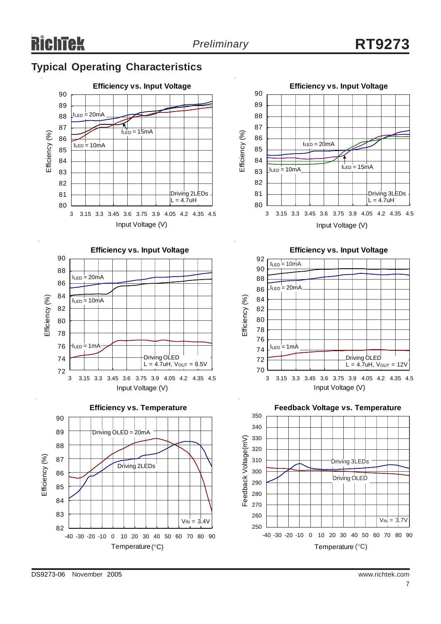# **Typical Operating Characteristics**



**Efficiency vs. Input Voltage**









**Efficiency vs. Input Voltage**



**Feedback Voltage vs. Temperature**

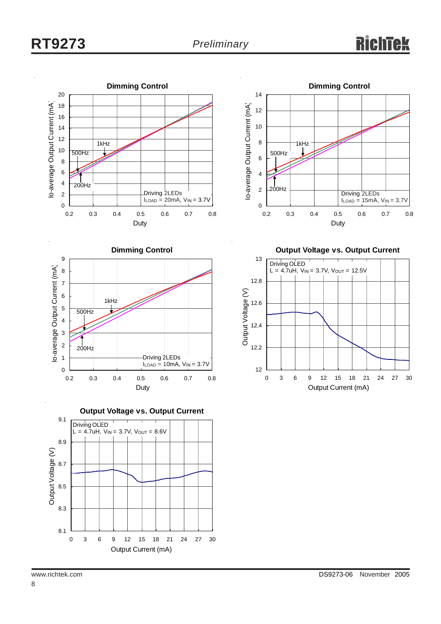









**Output Voltage vs. Output Current**

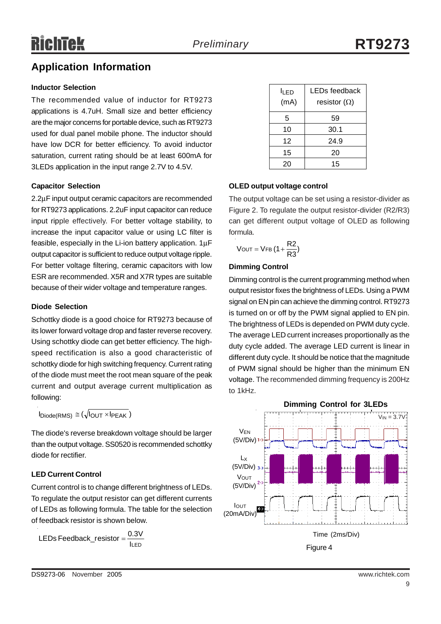### **Application Information**

#### **Inductor Selection**

The recommended value of inductor for RT9273 applications is 4.7uH. Small size and better efficiency are the major concerns for portable device, such as RT9273 used for dual panel mobile phone. The inductor should have low DCR for better efficiency. To avoid inductor saturation, current rating should be at least 600mA for 3LEDs application in the input range 2.7V to 4.5V.

#### **Capacitor Selection**

2.2μF input output ceramic capacitors are recommended for RT9273 applications. 2.2uF input capacitor can reduce input ripple effectively. For better voltage stability, to increase the input capacitor value or using LC filter is feasible, especially in the Li-ion battery application. 1μF output capacitor is sufficient to reduce output voltage ripple. For better voltage filtering, ceramic capacitors with low ESR are recommended. X5R and X7R types are suitable because of their wider voltage and temperature ranges.

#### **Diode Selection**

Schottky diode is a good choice for RT9273 because of its lower forward voltage drop and faster reverse recovery. Using schottky diode can get better efficiency. The highspeed rectification is also a good characteristic of schottky diode for high switching frequency. Current rating of the diode must meet the root mean square of the peak current and output average current multiplication as following:

 $I_{\text{Diode(RMS)}} \cong (\sqrt{I_{\text{OLIT}} \times I_{\text{PFAK}}})$ 

The diode's reverse breakdown voltage should be larger than the output voltage. SS0520 is recommended schottky diode for rectifier.

#### **LED Current Control**

Current control is to change different brightness of LEDs. To regulate the output resistor can get different currents of LEDs as following formula. The table for the selection of feedback resistor is shown below.

ILED LEDs Feedback\_resistor =

| lı FD<br>(mA) | LEDs feedback<br>resistor $(\Omega)$ |
|---------------|--------------------------------------|
| 5             | 59                                   |
| 10            | 30.1                                 |
| 12            | 24.9                                 |
| 15            | 20                                   |
| 20            | 15                                   |

#### **OLED output voltage control**

The output voltage can be set using a resistor-divider as Figure 2. To regulate the output resistor-divider (R2/R3) can get different output voltage of OLED as following formula.

$$
V_{OUT} = V_{FB} (1 + \frac{R2}{R3})
$$

#### **Dimming Control**

Dimming control is the current programming method when output resistor fixes the brightness of LEDs. Using a PWM signal on EN pin can achieve the dimming control. RT9273 is turned on or off by the PWM signal applied to EN pin. The brightness of LEDs is depended on PWM duty cycle. The average LED current increases proportionally as the duty cycle added. The average LED current is linear in different duty cycle. It should be notice that the magnitude of PWM signal should be higher than the minimum EN voltage. The recommended dimming frequency is 200Hz to 1kHz.

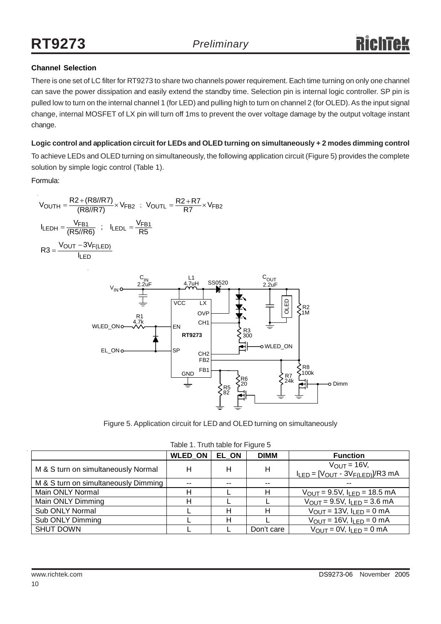#### **Channel Selection**

There is one set of LC filter for RT9273 to share two channels power requirement. Each time turning on only one channel can save the power dissipation and easily extend the standby time. Selection pin is internal logic controller. SP pin is pulled low to turn on the internal channel 1 (for LED) and pulling high to turn on channel 2 (for OLED). As the input signal change, internal MOSFET of LX pin will turn off 1ms to prevent the over voltage damage by the output voltage instant change.

#### **Logic control and application circuit for LEDs and OLED turning on simultaneously + 2 modes dimming control**

To achieve LEDs and OLED turning on simultaneously, the following application circuit (Figure 5) provides the complete solution by simple logic control (Table 1).

#### Formula:

$$
V_{OUTH} = \frac{R2 + (R8/R7)}{(R8/R7)} \times V_{FB2} \quad ; \quad V_{OUTL} = \frac{R2 + R7}{R7} \times V_{FB2}
$$
\n
$$
I_{LEDH} = \frac{V_{FB1}}{(R5/R6)} \quad ; \quad I_{LEDL} = \frac{V_{FB1}}{R5}
$$
\n
$$
R3 = \frac{V_{OUT} - 3V_{F(LED)}}{I_{LED}}
$$



Figure 5. Application circuit for LED and OLED turning on simultaneously

|                                      | <b>WLED ON</b> | <b>EL ON</b> | <b>DIMM</b> | <b>Function</b>                                                       |  |  |
|--------------------------------------|----------------|--------------|-------------|-----------------------------------------------------------------------|--|--|
| M & S turn on simultaneously Normal  | Н              | н            | H           | $V_{\text{OUT}} = 16V$ ,<br>$I_{LED} = [V_{OUT} - 3V_{F(LED)}]/R3$ mA |  |  |
| M & S turn on simultaneously Dimming | --             | --           | $-$         |                                                                       |  |  |
| Main ONLY Normal                     |                |              | н           | $V_{\text{OUT}} = 9.5V$ , $I_{\text{LED}} = 18.5 \text{ mA}$          |  |  |
| Main ONLY Dimming                    | н              |              |             | $V_{OUT} = 9.5V, I_{LED} = 3.6 mA$                                    |  |  |
| Sub ONLY Normal                      |                | н            | н           | $V_{\text{OUT}} = 13V$ , $I_{\text{LED}} = 0$ mA                      |  |  |
| Sub ONLY Dimming                     |                | Н            |             | $V_{OUT} = 16V$ , $I_{LED} = 0$ mA                                    |  |  |
| <b>SHUT DOWN</b>                     |                |              | Don't care  | $V_{\text{OUT}} = 0V$ , $I_{\text{LED}} = 0$ mA                       |  |  |

Table 1. Truth table for Figure 5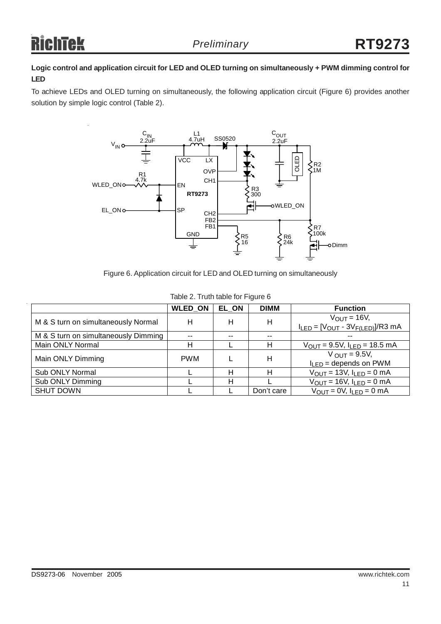#### **Logic control and application circuit for LED and OLED turning on simultaneously + PWM dimming control for LED**

To achieve LEDs and OLED turning on simultaneously, the following application circuit (Figure 6) provides another solution by simple logic control (Table 2).



Figure 6. Application circuit for LED and OLED turning on simultaneously

|                                      | <b>WLED ON</b> | EL ON | <b>DIMM</b> | <b>Function</b>                                                |
|--------------------------------------|----------------|-------|-------------|----------------------------------------------------------------|
| M & S turn on simultaneously Normal  | н              | н     | н           | $V_{OUT} = 16V$ ,<br>$I_{LED} = [V_{OUT} - 3V_{F(LED)}]/R3$ mA |
| M & S turn on simultaneously Dimming | --             | --    | $- -$       |                                                                |
| Main ONLY Normal                     | н              |       | н           | $V_{\text{OUT}} = 9.5V$ , $I_{\text{LED}} = 18.5 \text{ mA}$   |
| Main ONLY Dimming                    | <b>PWM</b>     |       | н           | $V_{OUT} = 9.5V$ ,<br>$I_{LED}$ = depends on PWM               |
| Sub ONLY Normal                      |                | н     | н           | $V_{\text{OUT}} = 13V$ , $I_{\text{LED}} = 0$ mA               |
| Sub ONLY Dimming                     |                | н     |             | $V_{OUT} = 16V$ , $I_{LED} = 0$ mA                             |
| <b>SHUT DOWN</b>                     |                |       | Don't care  | $V_{OUT} = 0V$ , $I_{LED} = 0$ mA                              |

#### Table 2. Truth table for Figure 6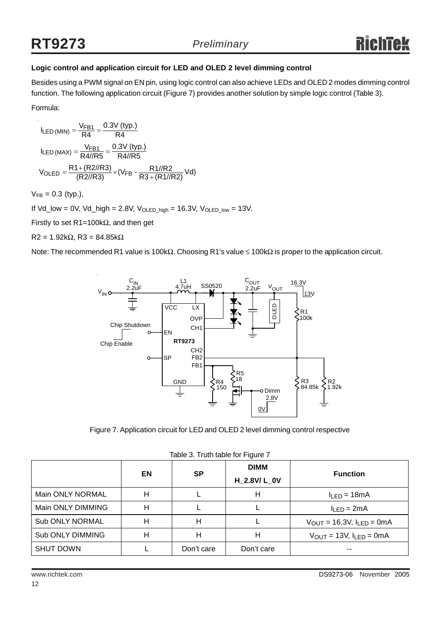#### **Logic control and application circuit for LED and OLED 2 level dimming control**

Besides using a PWM signal on EN pin, using logic control can also achieve LEDs and OLED 2 modes dimming control function. The following application circuit (Figure 7) provides another solution by simple logic control (Table 3).

Formula:

 $\overline{a}$ 

$$
I_{LED (MIN)} = \frac{V_{FB1}}{R4} = \frac{0.3V (typ.)}{R4}
$$
  
\n
$$
I_{LED (MAX)} = \frac{V_{FB1}}{R4//R5} = \frac{0.3V (typ.)}{R4//R5}
$$
  
\n
$$
V_{OLED} = \frac{R1 + (R2//R3)}{(R2//R3)} \times (V_{FB} - \frac{R1//R2}{R3 + (R1//R2)} Vd)
$$

 $V_{FB} = 0.3$  (typ.),

If Vd\_low = 0V, Vd\_high = 2.8V,  $V_{OLED\_high}$  = 16.3V,  $V_{OLED\_low}$  = 13V.

Firstly to set R1=100kΩ, and then get

 $R2 = 1.92kΩ, R3 = 84.85kΩ$ 

Note: The recommended R1 value is 100kΩ. Choosing R1's value ≤ 100kΩ is proper to the application circuit.



Figure 7. Application circuit for LED and OLED 2 level dimming control respective

|                   | EN | <b>SP</b>  | <b>DIMM</b><br>H 2.8V/L 0V | <b>Function</b>                                        |
|-------------------|----|------------|----------------------------|--------------------------------------------------------|
| Main ONLY NORMAL  | Η  |            | Н                          | $I_{LED} = 18mA$                                       |
| Main ONLY DIMMING | н  |            |                            | $I_{LED} = 2mA$                                        |
| Sub ONLY NORMAL   | Н  | Н          |                            | $V_{\text{OUT}} = 16.3V, I_{\text{LED}} = 0 \text{mA}$ |
| Sub ONLY DIMMING  | Н  | н          | н                          | $V_{OUT} = 13V, I_{LED} = 0mA$                         |
| <b>SHUT DOWN</b>  |    | Don't care | Don't care                 | --                                                     |

Table 3. Truth table for Figure 7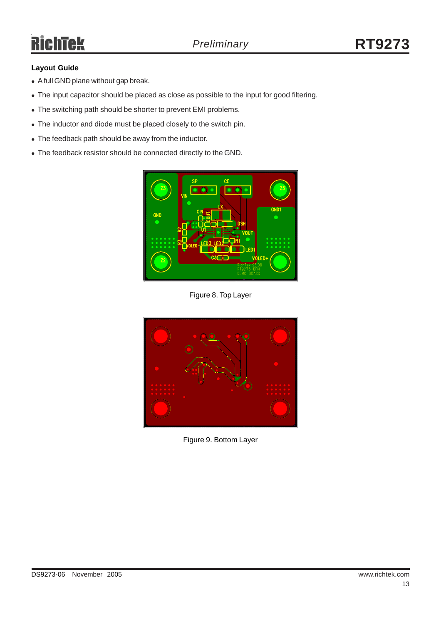#### **Layout Guide**

- A full GND plane without gap break.
- The input capacitor should be placed as close as possible to the input for good filtering.
- The switching path should be shorter to prevent EMI problems.
- The inductor and diode must be placed closely to the switch pin.
- The feedback path should be away from the inductor.
- The feedback resistor should be connected directly to the GND.



Figure 8. Top Layer



Figure 9. Bottom Layer